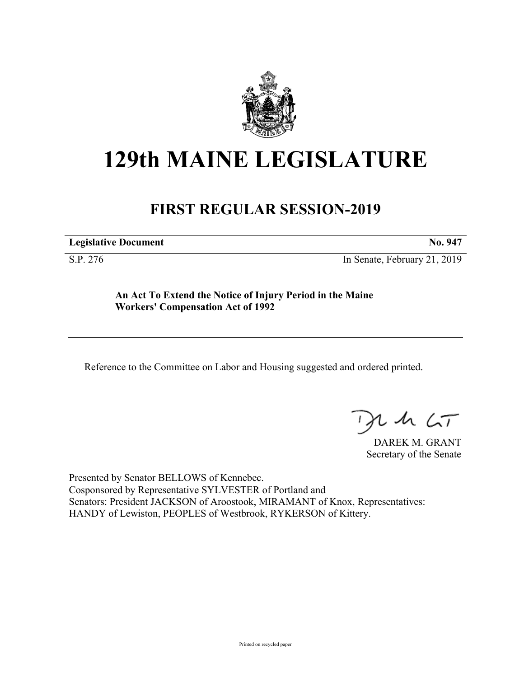

# **129th MAINE LEGISLATURE**

## **FIRST REGULAR SESSION-2019**

**Legislative Document No. 947**

S.P. 276 In Senate, February 21, 2019

**An Act To Extend the Notice of Injury Period in the Maine Workers' Compensation Act of 1992**

Reference to the Committee on Labor and Housing suggested and ordered printed.

 $125$ 

DAREK M. GRANT Secretary of the Senate

Presented by Senator BELLOWS of Kennebec. Cosponsored by Representative SYLVESTER of Portland and Senators: President JACKSON of Aroostook, MIRAMANT of Knox, Representatives: HANDY of Lewiston, PEOPLES of Westbrook, RYKERSON of Kittery.